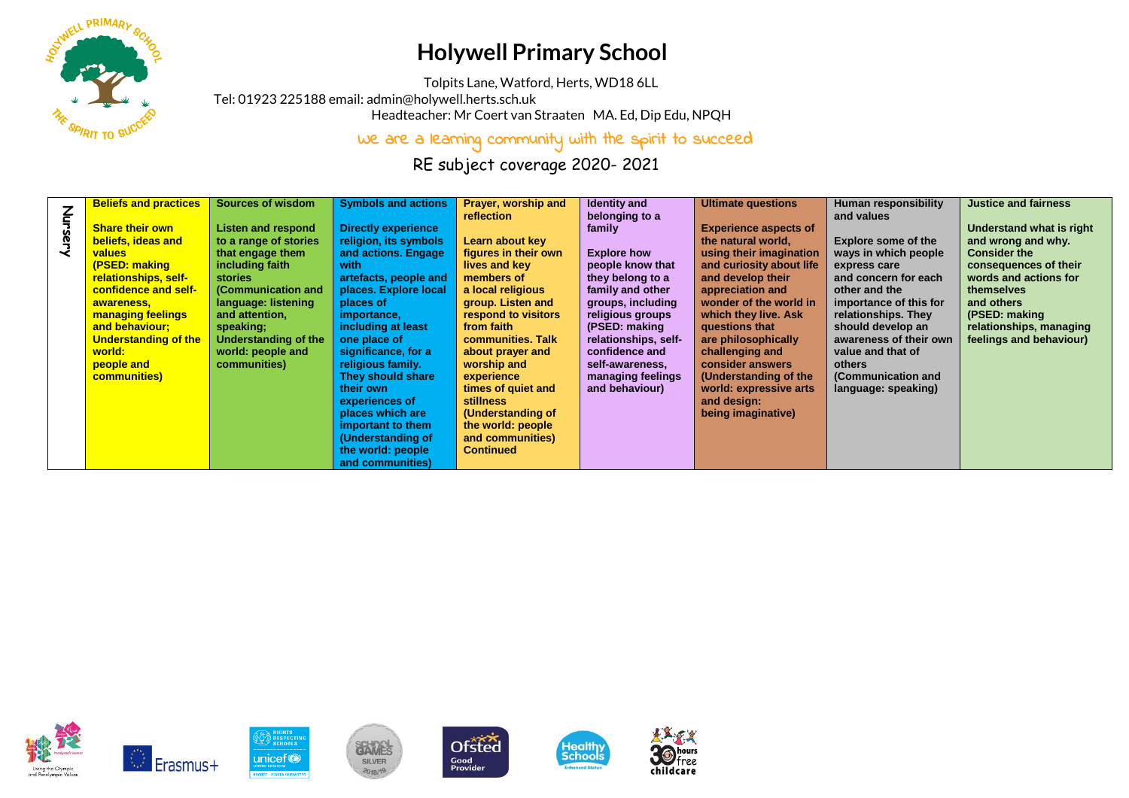

## **Holywell Primary School**

Tolpits Lane, Watford, Herts, WD18 6LL

Tel: 01923 225188 email[: admin@holywell.herts.sch.uk](mailto:admin@holywell.herts.sch.uk)

Headteacher: Mr Coert van Straaten MA. Ed, Dip Edu, NPQH

We are a learning community with the spirit to succeed

RE subject coverage 2020- 2021

|         | <b>Beliefs and practices</b> | <b>Sources of wisdom</b>    | <b>Symbols and actions</b> | Prayer, worship and  | <b>Identity and</b>  | <b>Ultimate questions</b>    | Human responsibility       | <b>Justice and fairness</b> |
|---------|------------------------------|-----------------------------|----------------------------|----------------------|----------------------|------------------------------|----------------------------|-----------------------------|
|         |                              |                             |                            | reflection           | belonging to a       |                              | and values                 |                             |
| Nursery | <b>Share their own</b>       | <b>Listen and respond</b>   | <b>Directly experience</b> |                      | family               | <b>Experience aspects of</b> |                            | Understand what is right    |
|         | beliefs, ideas and           | to a range of stories       | religion, its symbols      | Learn about key      |                      | the natural world,           | <b>Explore some of the</b> | and wrong and why.          |
|         | values                       | that engage them            | and actions. Engage        | figures in their own | <b>Explore how</b>   | using their imagination      | ways in which people       | <b>Consider the</b>         |
|         | (PSED: making                | including faith             | with                       | lives and key        | people know that     | and curiosity about life     | express care               | consequences of their       |
|         | relationships, self-         | <b>stories</b>              | artefacts, people and      | members of           | they belong to a     | and develop their            | and concern for each       | words and actions for       |
|         | confidence and self-         | (Communication and          | places. Explore local      | a local religious    | family and other     | appreciation and             | other and the              | themselves                  |
|         | awareness,                   | language: listening         | places of                  | group. Listen and    | groups, including    | wonder of the world in       | importance of this for     | and others                  |
|         | managing feelings            | and attention,              | importance,                | respond to visitors  | religious groups     | which they live. Ask         | relationships. They        | (PSED: making               |
|         | and behaviour:               | speaking;                   | including at least         | from faith           | (PSED: making        | questions that               | should develop an          | relationships, managing     |
|         |                              |                             |                            | communities. Talk    |                      |                              | awareness of their own     |                             |
|         | <b>Understanding of the</b>  | <b>Understanding of the</b> | one place of               |                      | relationships, self- | are philosophically          |                            | feelings and behaviour)     |
|         | world:                       | world: people and           | significance, for a        | about prayer and     | confidence and       | challenging and              | value and that of          |                             |
|         | people and                   | communities)                | religious family.          | worship and          | self-awareness,      | consider answers             | others                     |                             |
|         | <b>communities</b> )         |                             | They should share          | experience           | managing feelings    | (Understanding of the        | (Communication and         |                             |
|         |                              |                             | their own                  | times of quiet and   | and behaviour)       | world: expressive arts       | language: speaking)        |                             |
|         |                              |                             | experiences of             | <b>stillness</b>     |                      | and design:                  |                            |                             |
|         |                              |                             | places which are           | (Understanding of    |                      | being imaginative)           |                            |                             |
|         |                              |                             | important to them          | the world: people    |                      |                              |                            |                             |
|         |                              |                             | (Understanding of          | and communities)     |                      |                              |                            |                             |
|         |                              |                             | the world: people          | <b>Continued</b>     |                      |                              |                            |                             |
|         |                              |                             | and communities)           |                      |                      |                              |                            |                             |
|         |                              |                             |                            |                      |                      |                              |                            |                             |

free

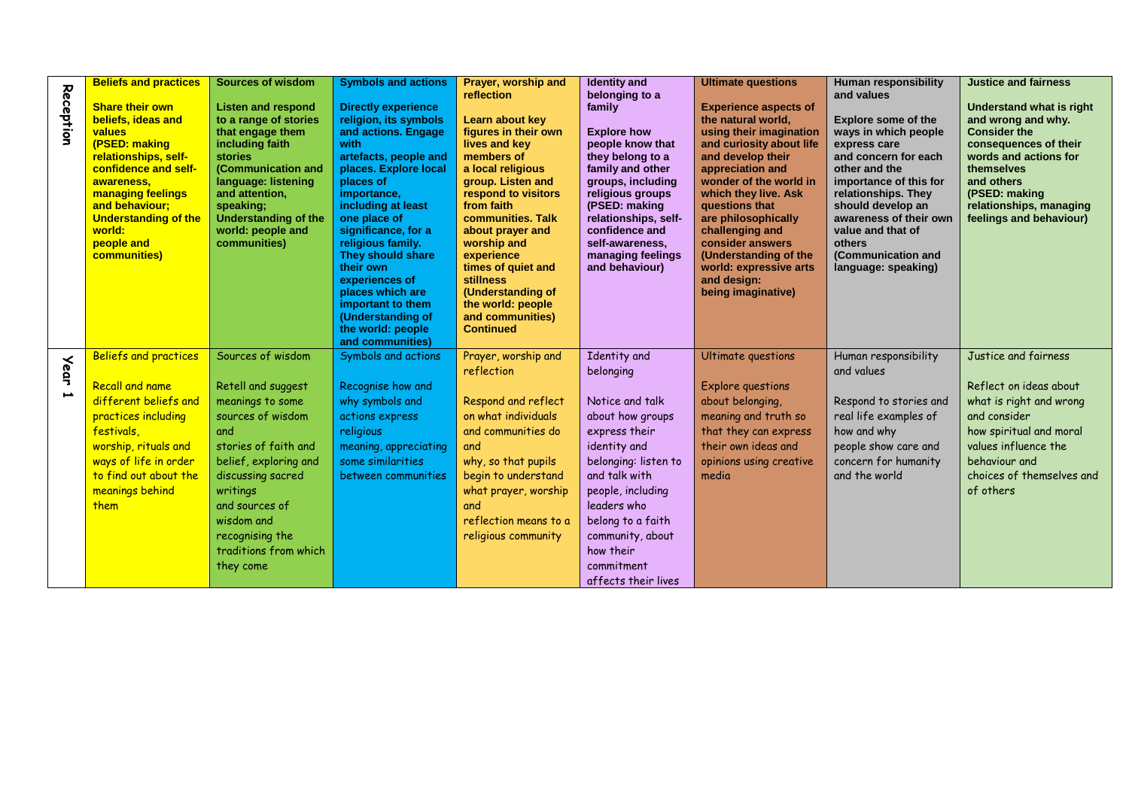| Reception                               | <b>Beliefs and practices</b><br><b>Share their own</b><br>beliefs, ideas and<br>values<br>(PSED: making<br>relationships, self-<br>confidence and self-<br>awareness,<br><b>managing feelings</b><br>and behaviour;<br><b>Understanding of the</b><br>world:<br>people and<br>communities) | <b>Sources of wisdom</b><br><b>Listen and respond</b><br>to a range of stories<br>that engage them<br>including faith<br><b>stories</b><br>(Communication and<br>language: listening<br>and attention.<br>speaking;<br><b>Understanding of the</b><br>world: people and<br>communities) | <b>Symbols and actions</b><br><b>Directly experience</b><br>religion, its symbols<br>and actions. Engage<br>with<br>artefacts, people and<br>places. Explore local<br>places of<br>importance,<br>including at least<br>one place of<br>significance, for a<br>religious family.<br>They should share<br>their own<br>experiences of<br>places which are<br>important to them<br>(Understanding of<br>the world: people<br>and communities) | Prayer, worship and<br>reflection<br>Learn about key<br>figures in their own<br>lives and key<br>members of<br>a local religious<br>group. Listen and<br>respond to visitors<br>from faith<br>communities. Talk<br>about prayer and<br>worship and<br>experience<br>times of quiet and<br><b>stillness</b><br>(Understanding of<br>the world: people<br>and communities)<br><b>Continued</b> | <b>Identity and</b><br>belonging to a<br>family<br><b>Explore how</b><br>people know that<br>they belong to a<br>family and other<br>groups, including<br>religious groups<br>(PSED: making<br>relationships, self-<br>confidence and<br>self-awareness,<br>managing feelings<br>and behaviour) | <b>Ultimate questions</b><br><b>Experience aspects of</b><br>the natural world,<br>using their imagination<br>and curiosity about life<br>and develop their<br>appreciation and<br>wonder of the world in<br>which they live. Ask<br>questions that<br>are philosophically<br>challenging and<br>consider answers<br>(Understanding of the<br>world: expressive arts<br>and design:<br>being imaginative) | <b>Human responsibility</b><br>and values<br><b>Explore some of the</b><br>ways in which people<br>express care<br>and concern for each<br>other and the<br>importance of this for<br>relationships. They<br>should develop an<br>awareness of their own<br>value and that of<br>others<br>(Communication and<br>language: speaking) | <b>Justice and fairness</b><br>Understand what is right<br>and wrong and why.<br><b>Consider the</b><br>consequences of their<br>words and actions for<br>themselves<br>and others<br>(PSED: making<br>relationships, managing<br>feelings and behaviour) |
|-----------------------------------------|--------------------------------------------------------------------------------------------------------------------------------------------------------------------------------------------------------------------------------------------------------------------------------------------|-----------------------------------------------------------------------------------------------------------------------------------------------------------------------------------------------------------------------------------------------------------------------------------------|---------------------------------------------------------------------------------------------------------------------------------------------------------------------------------------------------------------------------------------------------------------------------------------------------------------------------------------------------------------------------------------------------------------------------------------------|----------------------------------------------------------------------------------------------------------------------------------------------------------------------------------------------------------------------------------------------------------------------------------------------------------------------------------------------------------------------------------------------|-------------------------------------------------------------------------------------------------------------------------------------------------------------------------------------------------------------------------------------------------------------------------------------------------|-----------------------------------------------------------------------------------------------------------------------------------------------------------------------------------------------------------------------------------------------------------------------------------------------------------------------------------------------------------------------------------------------------------|--------------------------------------------------------------------------------------------------------------------------------------------------------------------------------------------------------------------------------------------------------------------------------------------------------------------------------------|-----------------------------------------------------------------------------------------------------------------------------------------------------------------------------------------------------------------------------------------------------------|
| <b>Year</b><br>$\overline{\phantom{a}}$ | Beliefs and practices<br><b>Recall and name</b><br>different beliefs and<br>practices including<br>festivals,<br>worship, rituals and<br>ways of life in order<br>to find out about the<br>meanings behind<br>them                                                                         | Sources of wisdom<br>Retell and suggest<br>meanings to some<br>sources of wisdom<br>and<br>stories of faith and<br>belief, exploring and<br>discussing sacred<br>writings<br>and sources of<br>wisdom and<br>recognising the<br>traditions from which<br>they come                      | Symbols and actions<br>Recognise how and<br>why symbols and<br>actions express<br>religious<br>meaning, appreciating<br>some similarities<br>between communities                                                                                                                                                                                                                                                                            | Prayer, worship and<br>reflection<br>Respond and reflect<br>on what individuals<br>and communities do<br>and<br>why, so that pupils<br>begin to understand<br>what prayer, worship<br>and<br>reflection means to a<br>religious community                                                                                                                                                    | Identity and<br>belonging<br>Notice and talk<br>about how groups<br>express their<br>identity and<br>belonging: listen to<br>and talk with<br>people, including<br>leaders who<br>belong to a faith<br>community, about<br>how their<br>commitment<br>affects their lives                       | Ultimate questions<br><b>Explore questions</b><br>about belonging,<br>meaning and truth so<br>that they can express<br>their own ideas and<br>opinions using creative<br>media                                                                                                                                                                                                                            | Human responsibility<br>and values<br>Respond to stories and<br>real life examples of<br>how and why<br>people show care and<br>concern for humanity<br>and the world                                                                                                                                                                | Justice and fairness<br>Reflect on ideas about<br>what is right and wrong<br>and consider<br>how spiritual and moral<br>values influence the<br>behaviour and<br>choices of themselves and<br>of others                                                   |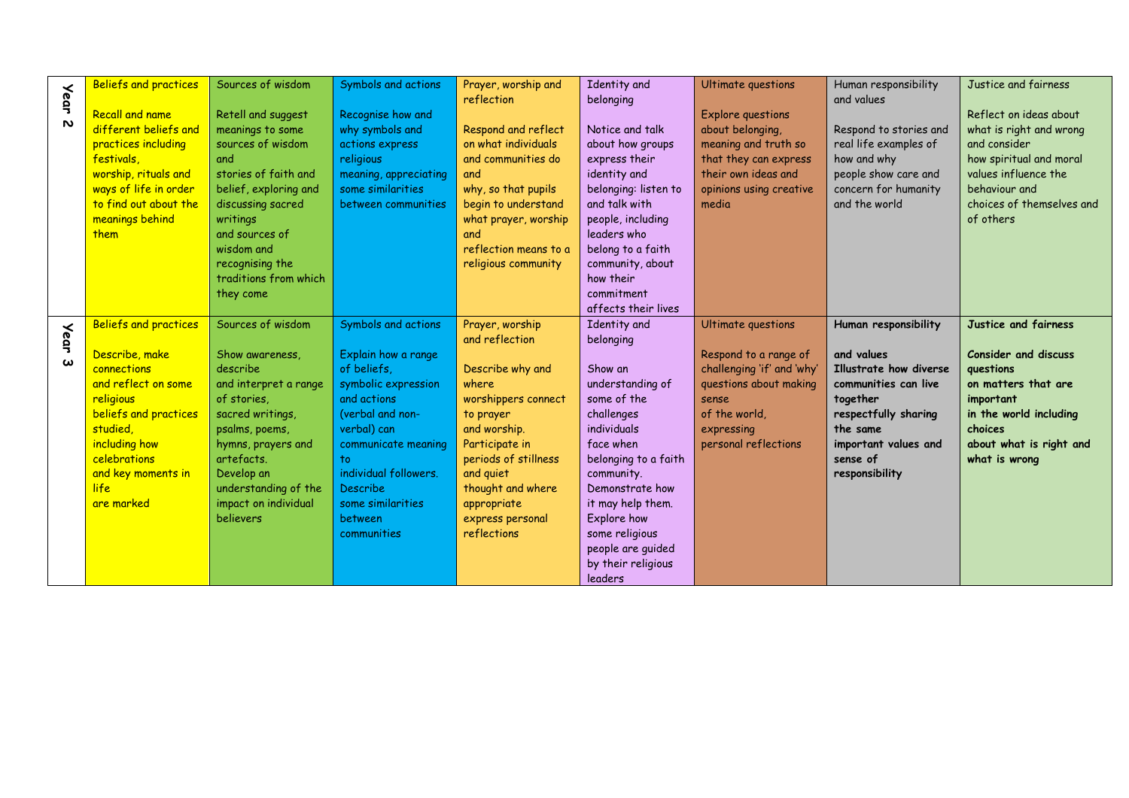|                       | <b>Beliefs and practices</b> | Sources of wisdom                | Symbols and actions       | Prayer, worship and            | Identity and         | Ultimate questions                 | Human responsibility   | Justice and fairness        |
|-----------------------|------------------------------|----------------------------------|---------------------------|--------------------------------|----------------------|------------------------------------|------------------------|-----------------------------|
| <b>Year</b>           |                              |                                  |                           | reflection                     | belonging            |                                    | and values             |                             |
|                       | <b>Recall and name</b>       | Retell and suggest               | Recognise how and         |                                |                      | <b>Explore questions</b>           |                        | Reflect on ideas about      |
| $\mathbf{v}$          | different beliefs and        | meanings to some                 | why symbols and           | Respond and reflect            | Notice and talk      | about belonging,                   | Respond to stories and | what is right and wrong     |
|                       | practices including          | sources of wisdom                | actions express           | on what individuals            | about how groups     | meaning and truth so               | real life examples of  | and consider                |
|                       | festivals.                   | and                              | religious                 | and communities do             | express their        | that they can express              | how and why            | how spiritual and moral     |
|                       | worship, rituals and         | stories of faith and             | meaning, appreciating     | and                            | identity and         | their own ideas and                | people show care and   | values influence the        |
|                       | ways of life in order        | belief, exploring and            | some similarities         | why, so that pupils            | belonging: listen to | opinions using creative            | concern for humanity   | behaviour and               |
|                       | to find out about the        | discussing sacred                | between communities       | begin to understand            | and talk with        | media                              | and the world          | choices of themselves and   |
|                       | meanings behind              | writings                         |                           | what prayer, worship           | people, including    |                                    |                        | of others                   |
|                       | them                         | and sources of                   |                           | and                            | leaders who          |                                    |                        |                             |
|                       |                              | wisdom and                       |                           | reflection means to a          | belong to a faith    |                                    |                        |                             |
|                       |                              | recognising the                  |                           | religious community            | community, about     |                                    |                        |                             |
|                       |                              | traditions from which            |                           |                                | how their            |                                    |                        |                             |
|                       |                              | they come                        |                           |                                | commitment           |                                    |                        |                             |
|                       |                              |                                  |                           |                                | affects their lives  |                                    |                        |                             |
|                       | <b>Beliefs and practices</b> | Sources of wisdom                | Symbols and actions       | Prayer, worship                | Identity and         | Ultimate questions                 | Human responsibility   | Justice and fairness        |
| <b>Year</b>           |                              |                                  |                           | and reflection                 | belonging            |                                    |                        |                             |
|                       | Describe, make               | Show awareness,                  | Explain how a range       |                                |                      | Respond to a range of              | and values             | <b>Consider and discuss</b> |
| $\boldsymbol{\omega}$ | connections                  | describe                         | of beliefs.               | Describe why and               | Show an              | challenging 'if' and 'why'         | Illustrate how diverse | questions                   |
|                       | and reflect on some          | and interpret a range            | symbolic expression       | where                          | understanding of     | questions about making             | communities can live   | on matters that are         |
|                       | religious                    | of stories.                      | and actions               | worshippers connect            | some of the          | sense                              | together               | important                   |
|                       | beliefs and practices        | sacred writings,                 | (verbal and non-          |                                | challenges           | of the world,                      | respectfully sharing   | in the world including      |
|                       | studied,                     |                                  | verbal) can               | to prayer                      | individuals          |                                    | the same               | choices                     |
|                       | including how                | psalms, poems,                   |                           | and worship.<br>Participate in | face when            | expressing<br>personal reflections | important values and   | about what is right and     |
|                       | celebrations                 | hymns, prayers and<br>artefacts. | communicate meaning<br>to | periods of stillness           | belonging to a faith |                                    | sense of               | what is wrong               |
|                       |                              | Develop an                       | individual followers.     | and quiet                      | community.           |                                    |                        |                             |
|                       | and key moments in<br>life   |                                  | <b>Describe</b>           |                                | Demonstrate how      |                                    | responsibility         |                             |
|                       | are marked                   | understanding of the             |                           | thought and where              |                      |                                    |                        |                             |
|                       |                              | impact on individual             | some similarities         | appropriate                    | it may help them.    |                                    |                        |                             |
|                       |                              | believers                        | between                   | express personal               | Explore how          |                                    |                        |                             |
|                       |                              |                                  | communities               | reflections                    | some religious       |                                    |                        |                             |
|                       |                              |                                  |                           |                                | people are guided    |                                    |                        |                             |
|                       |                              |                                  |                           |                                | by their religious   |                                    |                        |                             |
|                       |                              |                                  |                           |                                | <b>leaders</b>       |                                    |                        |                             |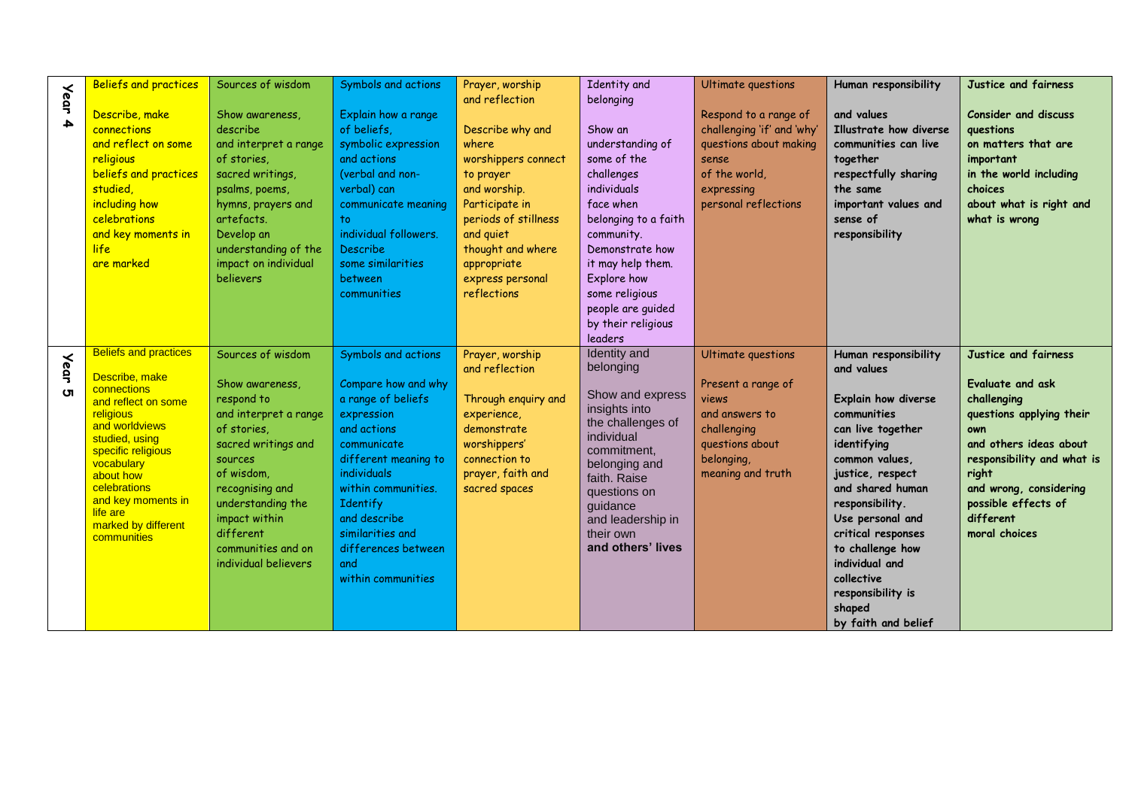| <b>Year</b><br>4         | <b>Beliefs and practices</b><br>Describe, make<br>connections<br>and reflect on some<br>religious<br>beliefs and practices<br>studied,<br>including how<br>celebrations<br>and key moments in<br>life<br>are marked                                                            | Sources of wisdom<br>Show awareness,<br>describe<br>and interpret a range<br>of stories,<br>sacred writings,<br>psalms, poems,<br>hymns, prayers and<br>artefacts.<br>Develop an<br>understanding of the<br>impact on individual<br>believers                  | Symbols and actions<br>Explain how a range<br>of beliefs,<br>symbolic expression<br>and actions<br>(verbal and non-<br>verbal) can<br>communicate meaning<br>to<br>individual followers.<br><b>Describe</b><br>some similarities<br>between<br>communities                            | Prayer, worship<br>and reflection<br>Describe why and<br>where<br>worshippers connect<br>to prayer<br>and worship.<br>Participate in<br>periods of stillness<br>and quiet<br>thought and where<br>appropriate<br>express personal<br>reflections | Identity and<br>belonging<br>Show an<br>understanding of<br>some of the<br>challenges<br>individuals<br>face when<br>belonging to a faith<br>community.<br>Demonstrate how<br>it may help them.<br>Explore how<br>some religious<br>people are guided<br>by their religious<br>leaders | Ultimate questions<br>Respond to a range of<br>challenging 'if' and 'why'<br>questions about making<br>sense<br>of the world.<br>expressing<br>personal reflections | Human responsibility<br>and values<br>Illustrate how diverse<br>communities can live<br>together<br>respectfully sharing<br>the same<br>important values and<br>sense of<br>responsibility                                                                                                                                                    | Justice and fairness<br>Consider and discuss<br>questions<br>on matters that are<br>important<br>in the world including<br>choices<br>about what is right and<br>what is wrong                                                             |
|--------------------------|--------------------------------------------------------------------------------------------------------------------------------------------------------------------------------------------------------------------------------------------------------------------------------|----------------------------------------------------------------------------------------------------------------------------------------------------------------------------------------------------------------------------------------------------------------|---------------------------------------------------------------------------------------------------------------------------------------------------------------------------------------------------------------------------------------------------------------------------------------|--------------------------------------------------------------------------------------------------------------------------------------------------------------------------------------------------------------------------------------------------|----------------------------------------------------------------------------------------------------------------------------------------------------------------------------------------------------------------------------------------------------------------------------------------|---------------------------------------------------------------------------------------------------------------------------------------------------------------------|-----------------------------------------------------------------------------------------------------------------------------------------------------------------------------------------------------------------------------------------------------------------------------------------------------------------------------------------------|--------------------------------------------------------------------------------------------------------------------------------------------------------------------------------------------------------------------------------------------|
| <b>Year</b><br><b>ហា</b> | <b>Beliefs and practices</b><br>Describe, make<br>connections<br>and reflect on some<br>religious<br>and worldviews<br>studied, using<br>specific religious<br>vocabulary<br>about how<br>celebrations<br>and key moments in<br>life are<br>marked by different<br>communities | Sources of wisdom<br>Show awareness,<br>respond to<br>and interpret a range<br>of stories,<br>sacred writings and<br>sources<br>of wisdom.<br>recognising and<br>understanding the<br>impact within<br>different<br>communities and on<br>individual believers | Symbols and actions<br>Compare how and why<br>a range of beliefs<br>expression<br>and actions<br>communicate<br>different meaning to<br>individuals<br>within communities.<br><b>Identify</b><br>and describe<br>similarities and<br>differences between<br>and<br>within communities | Prayer, worship<br>and reflection<br>Through enquiry and<br>experience,<br>demonstrate<br>worshippers'<br>connection to<br>prayer, faith and<br>sacred spaces                                                                                    | Identity and<br>belonging<br>Show and express<br>insights into<br>the challenges of<br>individual<br>commitment,<br>belonging and<br>faith. Raise<br>questions on<br>guidance<br>and leadership in<br>their own<br>and others' lives                                                   | <b>Ultimate questions</b><br>Present a range of<br>views<br>and answers to<br>challenging<br>questions about<br>belonging,<br>meaning and truth                     | Human responsibility<br>and values<br>Explain how diverse<br>communities<br>can live together<br>identifying<br>common values.<br>justice, respect<br>and shared human<br>responsibility.<br>Use personal and<br>critical responses<br>to challenge how<br>individual and<br>collective<br>responsibility is<br>shaped<br>by faith and belief | Justice and fairness<br>Evaluate and ask<br>challenging<br>questions applying their<br>own<br>and others ideas about<br>responsibility and what is<br>right<br>and wrong, considering<br>possible effects of<br>different<br>moral choices |